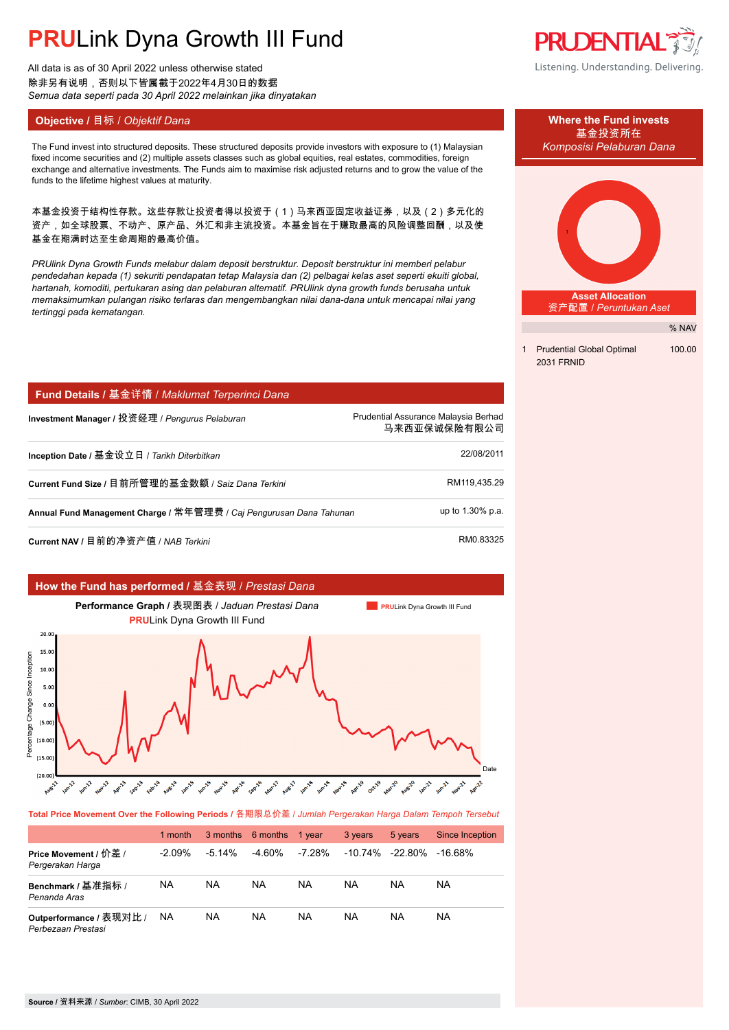# **PRU**Link Dyna Growth III Fund

All data is as of 30 April 2022 unless otherwise stated 除非另有说明,否则以下皆属截于2022年4月30日的数据 *Semua data seperti pada 30 April 2022 melainkan jika dinyatakan*

The Fund invest into structured deposits. These structured deposits provide investors with exposure to (1) Malaysian *Komposisi Pelaburan Dana* fixed income securities and (2) multiple assets classes such as global equities, real estates, commodities, foreign exchange and alternative investments. The Funds aim to maximise risk adjusted returns and to grow the value of the funds to the lifetime highest values at maturity.

本基金投资于结构性存款。这些存款让投资者得以投资于(1)马来西亚固定收益证券,以及(2)多元化的 资产,如全球股票、不动产、原产品、外汇和非主流投资。本基金旨在于赚取最高的风险调整回酬,以及使 基金在期满时达至生命周期的最高价值。

*PRUlink Dyna Growth Funds melabur dalam deposit berstruktur. Deposit berstruktur ini memberi pelabur pendedahan kepada (1) sekuriti pendapatan tetap Malaysia dan (2) pelbagai kelas aset seperti ekuiti global, hartanah, komoditi, pertukaran asing dan pelaburan alternatif. PRUlink dyna growth funds berusaha untuk memaksimumkan pulangan risiko terlaras dan mengembangkan nilai dana-dana untuk mencapai nilai yang tertinggi pada kematangan.*

| Fund Details / 基金详情 / Maklumat Terperinci Dana                      |                                                      |  |  |
|---------------------------------------------------------------------|------------------------------------------------------|--|--|
| Investment Manager / 投资经理 / Pengurus Pelaburan                      | Prudential Assurance Malaysia Berhad<br>马来西亚保诚保险有限公司 |  |  |
| Inception Date / 基金设立日 / Tarikh Diterbitkan                         | 22/08/2011                                           |  |  |
| Current Fund Size / 目前所管理的基金数额 / Saiz Dana Terkini                  | RM119,435.29                                         |  |  |
| Annual Fund Management Charge / 常年管理费 / Caj Pengurusan Dana Tahunan | up to 1.30% p.a.                                     |  |  |
| Current NAV / 目前的净资产值 / NAB Terkini                                 | RM0.83325                                            |  |  |



**Total Price Movement Over the Following Periods /** 各期限总价差 / *Jumlah Pergerakan Harga Dalam Tempoh Tersebut*

|                                               | 1 month   |           | 3 months 6 months 1 year |        | 3 years               | 5 years | Since Inception |
|-----------------------------------------------|-----------|-----------|--------------------------|--------|-----------------------|---------|-----------------|
| Price Movement / 价差 /<br>Pergerakan Harga     | $-2.09\%$ | $-5.14\%$ | -4.60%                   | -7.28% | $-10.74\%$ $-22.80\%$ |         | -16.68%         |
| Benchmark / 基准指标 /<br>Penanda Aras            | <b>NA</b> | NA        | NA                       | NA     | NA                    | NA      | NA.             |
| Outperformance / 表现对比 /<br>Perbezaan Prestasi | NA        | <b>NA</b> | NA                       | NA     | NA                    | NA      | NA.             |

**PRUDENTIAL®** Listening. Understanding. Delivering.



% NAV

1 Prudential Global Optimal 100.00 2031 FRNID